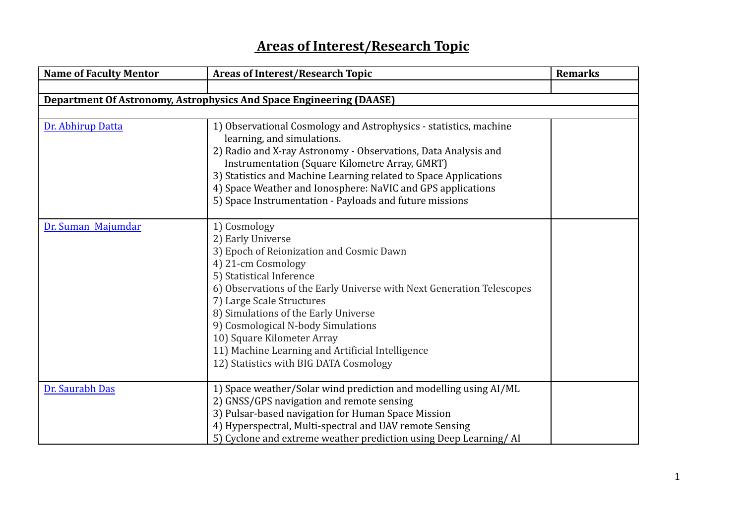## **Areas of Interest/Research Topic**

| <b>Name of Faculty Mentor</b> | <b>Areas of Interest/Research Topic</b>                                                                                                                                                                                                                                                                                                                                                                                                         | <b>Remarks</b> |
|-------------------------------|-------------------------------------------------------------------------------------------------------------------------------------------------------------------------------------------------------------------------------------------------------------------------------------------------------------------------------------------------------------------------------------------------------------------------------------------------|----------------|
|                               |                                                                                                                                                                                                                                                                                                                                                                                                                                                 |                |
|                               | <b>Department Of Astronomy, Astrophysics And Space Engineering (DAASE)</b>                                                                                                                                                                                                                                                                                                                                                                      |                |
|                               |                                                                                                                                                                                                                                                                                                                                                                                                                                                 |                |
| Dr. Abhirup Datta             | 1) Observational Cosmology and Astrophysics - statistics, machine<br>learning, and simulations.<br>2) Radio and X-ray Astronomy - Observations, Data Analysis and<br>Instrumentation (Square Kilometre Array, GMRT)<br>3) Statistics and Machine Learning related to Space Applications<br>4) Space Weather and Ionosphere: NaVIC and GPS applications<br>5) Space Instrumentation - Payloads and future missions                               |                |
| Dr. Suman Majumdar            | 1) Cosmology<br>2) Early Universe<br>3) Epoch of Reionization and Cosmic Dawn<br>4) 21-cm Cosmology<br>5) Statistical Inference<br>6) Observations of the Early Universe with Next Generation Telescopes<br>7) Large Scale Structures<br>8) Simulations of the Early Universe<br>9) Cosmological N-body Simulations<br>10) Square Kilometer Array<br>11) Machine Learning and Artificial Intelligence<br>12) Statistics with BIG DATA Cosmology |                |
| Dr. Saurabh Das               | 1) Space weather/Solar wind prediction and modelling using AI/ML<br>2) GNSS/GPS navigation and remote sensing<br>3) Pulsar-based navigation for Human Space Mission<br>4) Hyperspectral, Multi-spectral and UAV remote Sensing<br>5) Cyclone and extreme weather prediction using Deep Learning/AI                                                                                                                                              |                |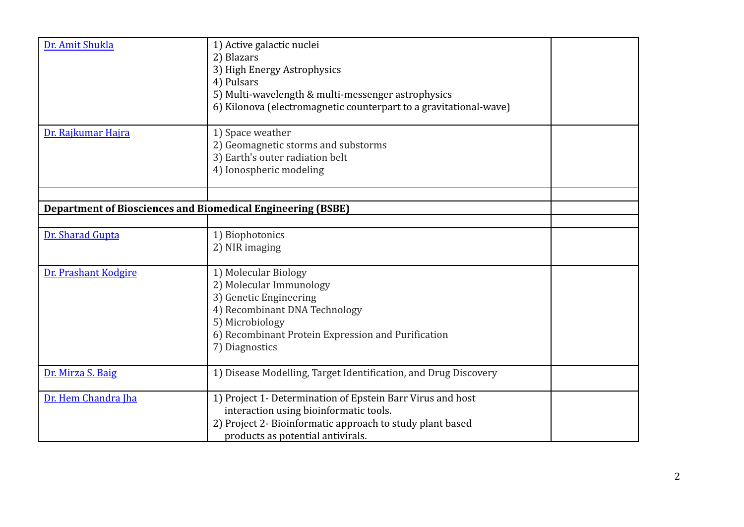| Dr. Amit Shukla                                                    | 1) Active galactic nuclei<br>2) Blazars<br>3) High Energy Astrophysics<br>4) Pulsars<br>5) Multi-wavelength & multi-messenger astrophysics                                                             |  |
|--------------------------------------------------------------------|--------------------------------------------------------------------------------------------------------------------------------------------------------------------------------------------------------|--|
| Dr. Rajkumar Hajra                                                 | 6) Kilonova (electromagnetic counterpart to a gravitational-wave)<br>1) Space weather<br>2) Geomagnetic storms and substorms<br>3) Earth's outer radiation belt<br>4) Ionospheric modeling             |  |
| <b>Department of Biosciences and Biomedical Engineering (BSBE)</b> |                                                                                                                                                                                                        |  |
| Dr. Sharad Gupta                                                   | 1) Biophotonics<br>2) NIR imaging                                                                                                                                                                      |  |
| Dr. Prashant Kodgire                                               | 1) Molecular Biology<br>2) Molecular Immunology<br>3) Genetic Engineering<br>4) Recombinant DNA Technology<br>5) Microbiology<br>6) Recombinant Protein Expression and Purification<br>7) Diagnostics  |  |
| Dr. Mirza S. Baig                                                  | 1) Disease Modelling, Target Identification, and Drug Discovery                                                                                                                                        |  |
| Dr. Hem Chandra Iha                                                | 1) Project 1- Determination of Epstein Barr Virus and host<br>interaction using bioinformatic tools.<br>2) Project 2- Bioinformatic approach to study plant based<br>products as potential antivirals. |  |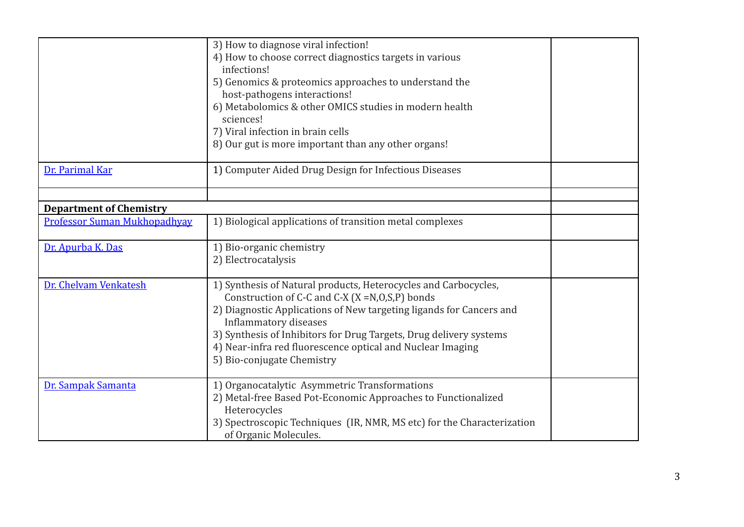|                                     | 3) How to diagnose viral infection!<br>4) How to choose correct diagnostics targets in various<br>infections!<br>5) Genomics & proteomics approaches to understand the<br>host-pathogens interactions!<br>6) Metabolomics & other OMICS studies in modern health<br>sciences!<br>7) Viral infection in brain cells<br>8) Our gut is more important than any other organs!                 |  |
|-------------------------------------|-------------------------------------------------------------------------------------------------------------------------------------------------------------------------------------------------------------------------------------------------------------------------------------------------------------------------------------------------------------------------------------------|--|
| Dr. Parimal Kar                     | 1) Computer Aided Drug Design for Infectious Diseases                                                                                                                                                                                                                                                                                                                                     |  |
| <b>Department of Chemistry</b>      |                                                                                                                                                                                                                                                                                                                                                                                           |  |
| <b>Professor Suman Mukhopadhyay</b> | 1) Biological applications of transition metal complexes                                                                                                                                                                                                                                                                                                                                  |  |
| Dr. Apurba K. Das                   | 1) Bio-organic chemistry<br>2) Electrocatalysis                                                                                                                                                                                                                                                                                                                                           |  |
| Dr. Chelvam Venkatesh               | 1) Synthesis of Natural products, Heterocycles and Carbocycles,<br>Construction of C-C and C-X $(X = N, 0, S, P)$ bonds<br>2) Diagnostic Applications of New targeting ligands for Cancers and<br>Inflammatory diseases<br>3) Synthesis of Inhibitors for Drug Targets, Drug delivery systems<br>4) Near-infra red fluorescence optical and Nuclear Imaging<br>5) Bio-conjugate Chemistry |  |
| Dr. Sampak Samanta                  | 1) Organocatalytic Asymmetric Transformations<br>2) Metal-free Based Pot-Economic Approaches to Functionalized<br>Heterocycles<br>3) Spectroscopic Techniques (IR, NMR, MS etc) for the Characterization<br>of Organic Molecules.                                                                                                                                                         |  |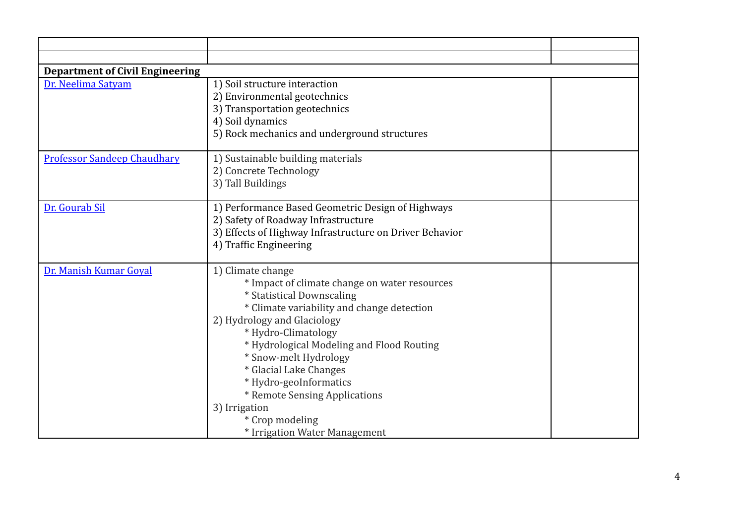| <b>Department of Civil Engineering</b> |                                                                                                                                                                                                                                                                                                                                                                                                                                     |  |
|----------------------------------------|-------------------------------------------------------------------------------------------------------------------------------------------------------------------------------------------------------------------------------------------------------------------------------------------------------------------------------------------------------------------------------------------------------------------------------------|--|
| Dr. Neelima Satyam                     | 1) Soil structure interaction<br>2) Environmental geotechnics<br>3) Transportation geotechnics<br>4) Soil dynamics<br>5) Rock mechanics and underground structures                                                                                                                                                                                                                                                                  |  |
| <b>Professor Sandeep Chaudhary</b>     | 1) Sustainable building materials<br>2) Concrete Technology<br>3) Tall Buildings                                                                                                                                                                                                                                                                                                                                                    |  |
| Dr. Gourab Sil                         | 1) Performance Based Geometric Design of Highways<br>2) Safety of Roadway Infrastructure<br>3) Effects of Highway Infrastructure on Driver Behavior<br>4) Traffic Engineering                                                                                                                                                                                                                                                       |  |
| Dr. Manish Kumar Goyal                 | 1) Climate change<br>* Impact of climate change on water resources<br>* Statistical Downscaling<br>* Climate variability and change detection<br>2) Hydrology and Glaciology<br>* Hydro-Climatology<br>* Hydrological Modeling and Flood Routing<br>* Snow-melt Hydrology<br>* Glacial Lake Changes<br>* Hydro-geoInformatics<br>* Remote Sensing Applications<br>3) Irrigation<br>* Crop modeling<br>* Irrigation Water Management |  |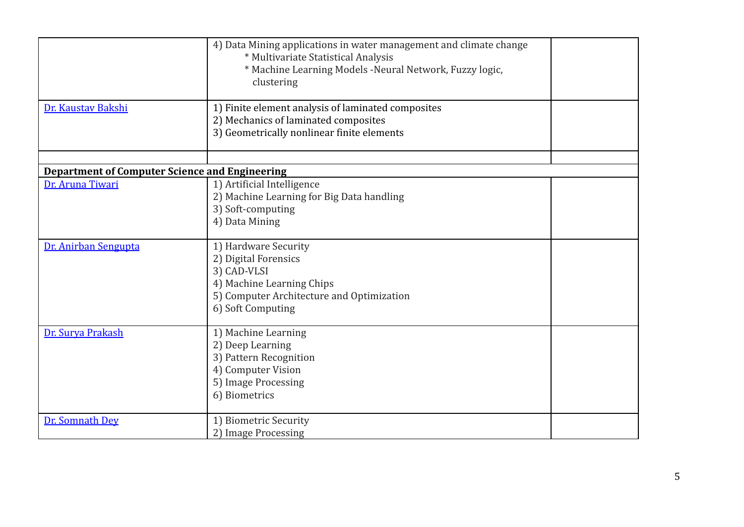|                                                       | 4) Data Mining applications in water management and climate change<br>* Multivariate Statistical Analysis<br>* Machine Learning Models - Neural Network, Fuzzy logic,<br>clustering |  |
|-------------------------------------------------------|-------------------------------------------------------------------------------------------------------------------------------------------------------------------------------------|--|
| Dr. Kaustav Bakshi                                    | 1) Finite element analysis of laminated composites<br>2) Mechanics of laminated composites<br>3) Geometrically nonlinear finite elements                                            |  |
| <b>Department of Computer Science and Engineering</b> |                                                                                                                                                                                     |  |
| Dr. Aruna Tiwari                                      | 1) Artificial Intelligence<br>2) Machine Learning for Big Data handling<br>3) Soft-computing<br>4) Data Mining                                                                      |  |
| Dr. Anirban Sengupta                                  | 1) Hardware Security<br>2) Digital Forensics<br>3) CAD-VLSI<br>4) Machine Learning Chips<br>5) Computer Architecture and Optimization<br>6) Soft Computing                          |  |
| Dr. Surya Prakash                                     | 1) Machine Learning<br>2) Deep Learning<br>3) Pattern Recognition<br>4) Computer Vision<br>5) Image Processing<br>6) Biometrics                                                     |  |
| Dr. Somnath Dey                                       | 1) Biometric Security<br>2) Image Processing                                                                                                                                        |  |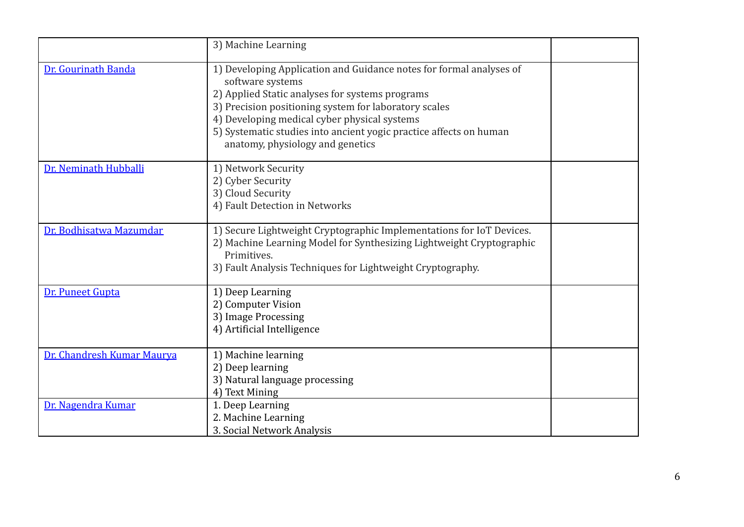|                            | 3) Machine Learning                                                                                                                                                                                                                                                                                                                                           |  |
|----------------------------|---------------------------------------------------------------------------------------------------------------------------------------------------------------------------------------------------------------------------------------------------------------------------------------------------------------------------------------------------------------|--|
| Dr. Gourinath Banda        | 1) Developing Application and Guidance notes for formal analyses of<br>software systems<br>2) Applied Static analyses for systems programs<br>3) Precision positioning system for laboratory scales<br>4) Developing medical cyber physical systems<br>5) Systematic studies into ancient yogic practice affects on human<br>anatomy, physiology and genetics |  |
| Dr. Neminath Hubballi      | 1) Network Security<br>2) Cyber Security<br>3) Cloud Security<br>4) Fault Detection in Networks                                                                                                                                                                                                                                                               |  |
| Dr. Bodhisatwa Mazumdar    | 1) Secure Lightweight Cryptographic Implementations for IoT Devices.<br>2) Machine Learning Model for Synthesizing Lightweight Cryptographic<br>Primitives.<br>3) Fault Analysis Techniques for Lightweight Cryptography.                                                                                                                                     |  |
| Dr. Puneet Gupta           | 1) Deep Learning<br>2) Computer Vision<br>3) Image Processing<br>4) Artificial Intelligence                                                                                                                                                                                                                                                                   |  |
| Dr. Chandresh Kumar Maurya | 1) Machine learning<br>2) Deep learning<br>3) Natural language processing<br>4) Text Mining                                                                                                                                                                                                                                                                   |  |
| Dr. Nagendra Kumar         | 1. Deep Learning<br>2. Machine Learning<br>3. Social Network Analysis                                                                                                                                                                                                                                                                                         |  |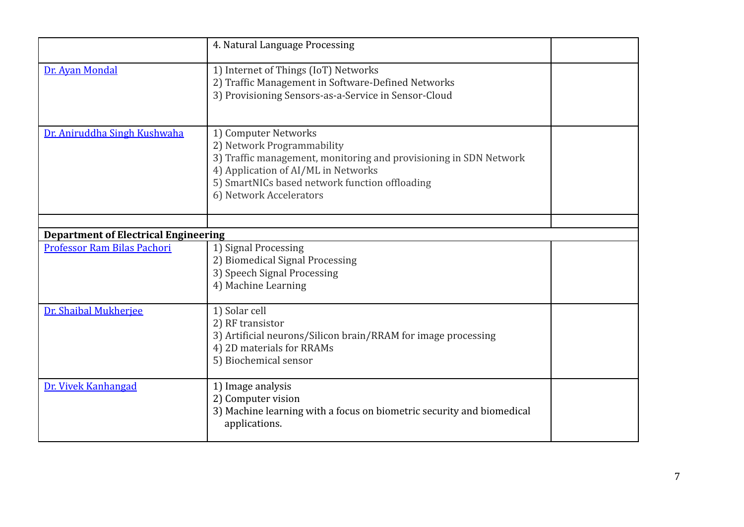|                                                                            | 4. Natural Language Processing                                                                                                                                                                                                              |  |
|----------------------------------------------------------------------------|---------------------------------------------------------------------------------------------------------------------------------------------------------------------------------------------------------------------------------------------|--|
| Dr. Ayan Mondal                                                            | 1) Internet of Things (IoT) Networks<br>2) Traffic Management in Software-Defined Networks<br>3) Provisioning Sensors-as-a-Service in Sensor-Cloud                                                                                          |  |
| Dr. Aniruddha Singh Kushwaha                                               | 1) Computer Networks<br>2) Network Programmability<br>3) Traffic management, monitoring and provisioning in SDN Network<br>4) Application of AI/ML in Networks<br>5) SmartNICs based network function offloading<br>6) Network Accelerators |  |
|                                                                            |                                                                                                                                                                                                                                             |  |
| <b>Department of Electrical Engineering</b><br>Professor Ram Bilas Pachori | 1) Signal Processing                                                                                                                                                                                                                        |  |
|                                                                            | 2) Biomedical Signal Processing<br>3) Speech Signal Processing<br>4) Machine Learning                                                                                                                                                       |  |
| Dr. Shaibal Mukherjee                                                      | 1) Solar cell<br>2) RF transistor<br>3) Artificial neurons/Silicon brain/RRAM for image processing<br>4) 2D materials for RRAMs<br>5) Biochemical sensor                                                                                    |  |
| Dr. Vivek Kanhangad                                                        | 1) Image analysis<br>2) Computer vision<br>3) Machine learning with a focus on biometric security and biomedical<br>applications.                                                                                                           |  |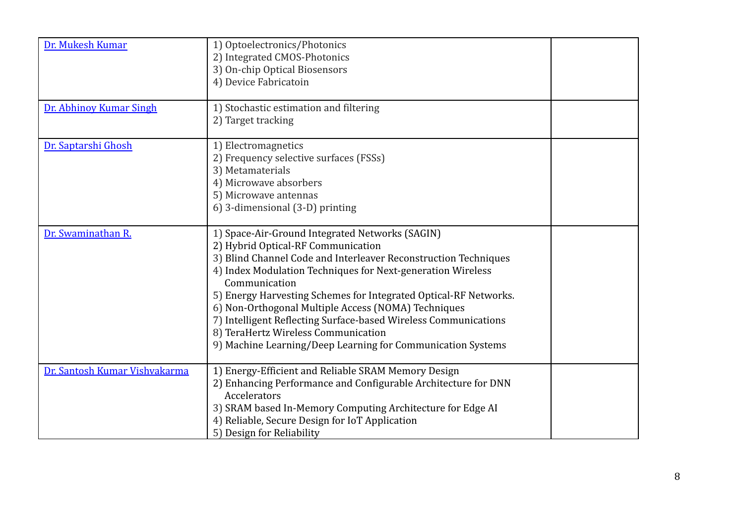| Dr. Mukesh Kumar              | 1) Optoelectronics/Photonics<br>2) Integrated CMOS-Photonics<br>3) On-chip Optical Biosensors<br>4) Device Fabricatoin                                                                                                                                                                                                                                                                                                                                                                                                                       |  |
|-------------------------------|----------------------------------------------------------------------------------------------------------------------------------------------------------------------------------------------------------------------------------------------------------------------------------------------------------------------------------------------------------------------------------------------------------------------------------------------------------------------------------------------------------------------------------------------|--|
| Dr. Abhinoy Kumar Singh       | 1) Stochastic estimation and filtering<br>2) Target tracking                                                                                                                                                                                                                                                                                                                                                                                                                                                                                 |  |
| Dr. Saptarshi Ghosh           | 1) Electromagnetics<br>2) Frequency selective surfaces (FSSs)<br>3) Metamaterials<br>4) Microwave absorbers<br>5) Microwave antennas<br>6) 3-dimensional (3-D) printing                                                                                                                                                                                                                                                                                                                                                                      |  |
| Dr. Swaminathan R.            | 1) Space-Air-Ground Integrated Networks (SAGIN)<br>2) Hybrid Optical-RF Communication<br>3) Blind Channel Code and Interleaver Reconstruction Techniques<br>4) Index Modulation Techniques for Next-generation Wireless<br>Communication<br>5) Energy Harvesting Schemes for Integrated Optical-RF Networks.<br>6) Non-Orthogonal Multiple Access (NOMA) Techniques<br>7) Intelligent Reflecting Surface-based Wireless Communications<br>8) TeraHertz Wireless Communication<br>9) Machine Learning/Deep Learning for Communication Systems |  |
| Dr. Santosh Kumar Vishvakarma | 1) Energy-Efficient and Reliable SRAM Memory Design<br>2) Enhancing Performance and Configurable Architecture for DNN<br>Accelerators<br>3) SRAM based In-Memory Computing Architecture for Edge AI<br>4) Reliable, Secure Design for IoT Application<br>5) Design for Reliability                                                                                                                                                                                                                                                           |  |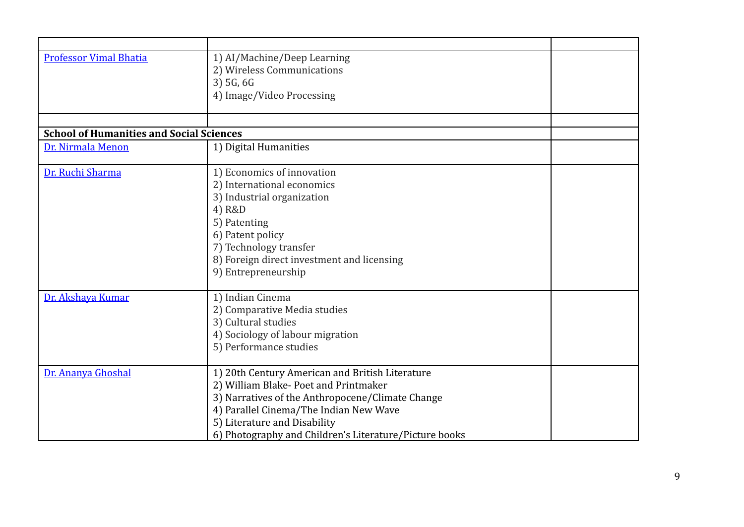| <b>Professor Vimal Bhatia</b>                   | 1) AI/Machine/Deep Learning                            |  |
|-------------------------------------------------|--------------------------------------------------------|--|
|                                                 | 2) Wireless Communications                             |  |
|                                                 | 3) 5G, 6G                                              |  |
|                                                 | 4) Image/Video Processing                              |  |
|                                                 |                                                        |  |
|                                                 |                                                        |  |
| <b>School of Humanities and Social Sciences</b> |                                                        |  |
| Dr. Nirmala Menon                               | 1) Digital Humanities                                  |  |
|                                                 |                                                        |  |
| Dr. Ruchi Sharma                                | 1) Economics of innovation                             |  |
|                                                 | 2) International economics                             |  |
|                                                 | 3) Industrial organization                             |  |
|                                                 | 4) R&D                                                 |  |
|                                                 | 5) Patenting                                           |  |
|                                                 | 6) Patent policy                                       |  |
|                                                 | 7) Technology transfer                                 |  |
|                                                 | 8) Foreign direct investment and licensing             |  |
|                                                 |                                                        |  |
|                                                 | 9) Entrepreneurship                                    |  |
| Dr. Akshaya Kumar                               | 1) Indian Cinema                                       |  |
|                                                 | 2) Comparative Media studies                           |  |
|                                                 | 3) Cultural studies                                    |  |
|                                                 |                                                        |  |
|                                                 | 4) Sociology of labour migration                       |  |
|                                                 | 5) Performance studies                                 |  |
| Dr. Ananya Ghoshal                              | 1) 20th Century American and British Literature        |  |
|                                                 | 2) William Blake-Poet and Printmaker                   |  |
|                                                 | 3) Narratives of the Anthropocene/Climate Change       |  |
|                                                 | 4) Parallel Cinema/The Indian New Wave                 |  |
|                                                 |                                                        |  |
|                                                 | 5) Literature and Disability                           |  |
|                                                 | 6) Photography and Children's Literature/Picture books |  |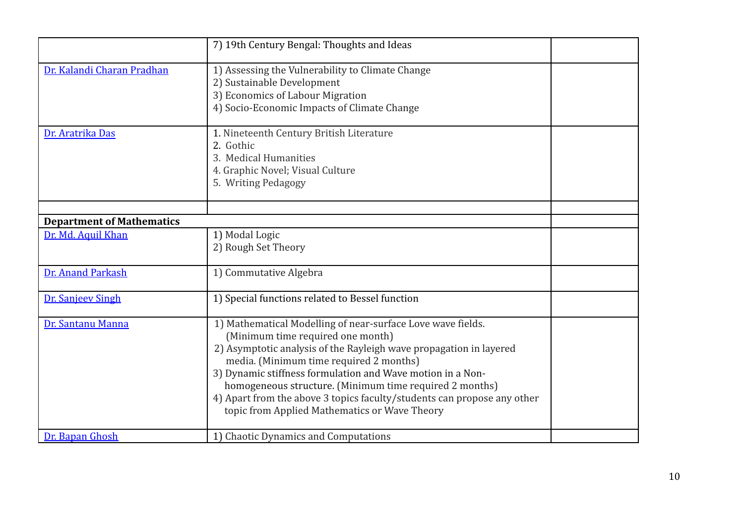|                                  | 7) 19th Century Bengal: Thoughts and Ideas                                                                                                                                                                                                                                                                                                                                                                                                                             |  |
|----------------------------------|------------------------------------------------------------------------------------------------------------------------------------------------------------------------------------------------------------------------------------------------------------------------------------------------------------------------------------------------------------------------------------------------------------------------------------------------------------------------|--|
| Dr. Kalandi Charan Pradhan       | 1) Assessing the Vulnerability to Climate Change<br>2) Sustainable Development<br>3) Economics of Labour Migration<br>4) Socio-Economic Impacts of Climate Change                                                                                                                                                                                                                                                                                                      |  |
| Dr. Aratrika Das                 | 1. Nineteenth Century British Literature<br>2. Gothic<br>3. Medical Humanities<br>4. Graphic Novel; Visual Culture<br>5. Writing Pedagogy                                                                                                                                                                                                                                                                                                                              |  |
| <b>Department of Mathematics</b> |                                                                                                                                                                                                                                                                                                                                                                                                                                                                        |  |
| Dr. Md. Aquil Khan               | 1) Modal Logic                                                                                                                                                                                                                                                                                                                                                                                                                                                         |  |
|                                  | 2) Rough Set Theory                                                                                                                                                                                                                                                                                                                                                                                                                                                    |  |
| Dr. Anand Parkash                | 1) Commutative Algebra                                                                                                                                                                                                                                                                                                                                                                                                                                                 |  |
| <b>Dr. Sanjeev Singh</b>         | 1) Special functions related to Bessel function                                                                                                                                                                                                                                                                                                                                                                                                                        |  |
| Dr. Santanu Manna                | 1) Mathematical Modelling of near-surface Love wave fields.<br>(Minimum time required one month)<br>2) Asymptotic analysis of the Rayleigh wave propagation in layered<br>media. (Minimum time required 2 months)<br>3) Dynamic stiffness formulation and Wave motion in a Non-<br>homogeneous structure. (Minimum time required 2 months)<br>4) Apart from the above 3 topics faculty/students can propose any other<br>topic from Applied Mathematics or Wave Theory |  |
| Dr. Bapan Ghosh                  | 1) Chaotic Dynamics and Computations                                                                                                                                                                                                                                                                                                                                                                                                                                   |  |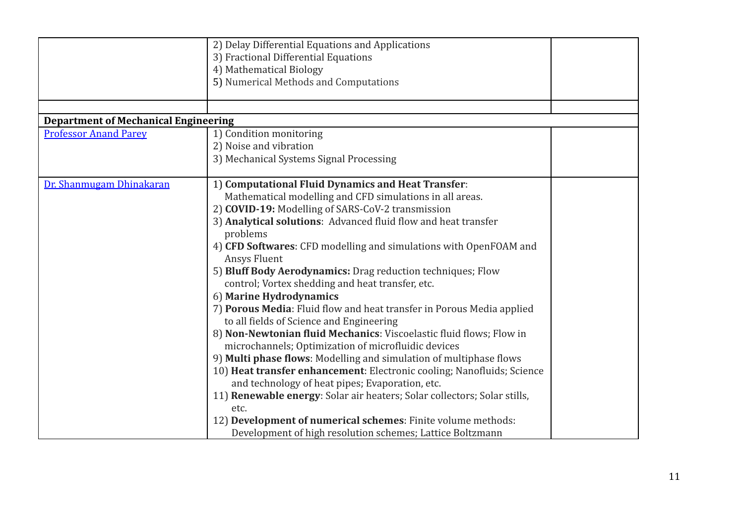|                                             | 2) Delay Differential Equations and Applications<br>3) Fractional Differential Equations<br>4) Mathematical Biology        |  |
|---------------------------------------------|----------------------------------------------------------------------------------------------------------------------------|--|
|                                             | 5) Numerical Methods and Computations                                                                                      |  |
|                                             |                                                                                                                            |  |
| <b>Department of Mechanical Engineering</b> |                                                                                                                            |  |
| <b>Professor Anand Parey</b>                | 1) Condition monitoring                                                                                                    |  |
|                                             | 2) Noise and vibration                                                                                                     |  |
|                                             | 3) Mechanical Systems Signal Processing                                                                                    |  |
| Dr. Shanmugam Dhinakaran                    | 1) Computational Fluid Dynamics and Heat Transfer:                                                                         |  |
|                                             | Mathematical modelling and CFD simulations in all areas.                                                                   |  |
|                                             | 2) COVID-19: Modelling of SARS-CoV-2 transmission                                                                          |  |
|                                             | 3) Analytical solutions: Advanced fluid flow and heat transfer                                                             |  |
|                                             | problems                                                                                                                   |  |
|                                             | 4) CFD Softwares: CFD modelling and simulations with OpenFOAM and<br>Ansys Fluent                                          |  |
|                                             | 5) Bluff Body Aerodynamics: Drag reduction techniques; Flow<br>control; Vortex shedding and heat transfer, etc.            |  |
|                                             | 6) Marine Hydrodynamics                                                                                                    |  |
|                                             | 7) Porous Media: Fluid flow and heat transfer in Porous Media applied<br>to all fields of Science and Engineering          |  |
|                                             | 8) Non-Newtonian fluid Mechanics: Viscoelastic fluid flows; Flow in<br>microchannels; Optimization of microfluidic devices |  |
|                                             | 9) Multi phase flows: Modelling and simulation of multiphase flows                                                         |  |
|                                             | 10) Heat transfer enhancement: Electronic cooling; Nanofluids; Science                                                     |  |
|                                             | and technology of heat pipes; Evaporation, etc.                                                                            |  |
|                                             | 11) <b>Renewable energy</b> : Solar air heaters; Solar collectors; Solar stills,                                           |  |
|                                             | etc.                                                                                                                       |  |
|                                             | 12) Development of numerical schemes: Finite volume methods:                                                               |  |
|                                             | Development of high resolution schemes; Lattice Boltzmann                                                                  |  |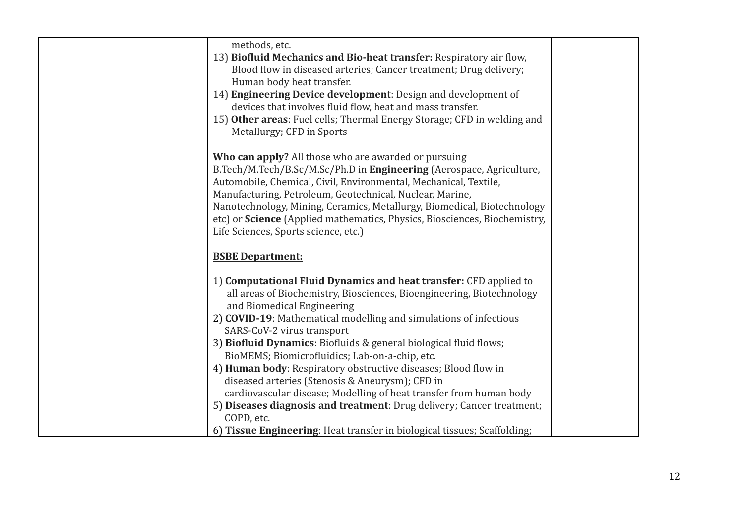| methods, etc.<br>13) Biofluid Mechanics and Bio-heat transfer: Respiratory air flow,<br>Blood flow in diseased arteries; Cancer treatment; Drug delivery;<br>Human body heat transfer.<br>14) Engineering Device development: Design and development of<br>devices that involves fluid flow, heat and mass transfer.<br>15) Other areas: Fuel cells; Thermal Energy Storage; CFD in welding and<br>Metallurgy; CFD in Sports                                                                                                                                                                                                                                                                                                                                     |  |
|------------------------------------------------------------------------------------------------------------------------------------------------------------------------------------------------------------------------------------------------------------------------------------------------------------------------------------------------------------------------------------------------------------------------------------------------------------------------------------------------------------------------------------------------------------------------------------------------------------------------------------------------------------------------------------------------------------------------------------------------------------------|--|
| <b>Who can apply?</b> All those who are awarded or pursuing<br>B.Tech/M.Tech/B.Sc/M.Sc/Ph.D in Engineering (Aerospace, Agriculture,<br>Automobile, Chemical, Civil, Environmental, Mechanical, Textile,<br>Manufacturing, Petroleum, Geotechnical, Nuclear, Marine,<br>Nanotechnology, Mining, Ceramics, Metallurgy, Biomedical, Biotechnology<br>etc) or Science (Applied mathematics, Physics, Biosciences, Biochemistry,<br>Life Sciences, Sports science, etc.)                                                                                                                                                                                                                                                                                              |  |
| <b>BSBE Department:</b>                                                                                                                                                                                                                                                                                                                                                                                                                                                                                                                                                                                                                                                                                                                                          |  |
| 1) Computational Fluid Dynamics and heat transfer: CFD applied to<br>all areas of Biochemistry, Biosciences, Bioengineering, Biotechnology<br>and Biomedical Engineering<br>2) COVID-19: Mathematical modelling and simulations of infectious<br>SARS-CoV-2 virus transport<br>3) Biofluid Dynamics: Biofluids & general biological fluid flows;<br>BioMEMS; Biomicrofluidics; Lab-on-a-chip, etc.<br>4) Human body: Respiratory obstructive diseases; Blood flow in<br>diseased arteries (Stenosis & Aneurysm); CFD in<br>cardiovascular disease; Modelling of heat transfer from human body<br>5) Diseases diagnosis and treatment: Drug delivery; Cancer treatment;<br>COPD, etc.<br>6) Tissue Engineering: Heat transfer in biological tissues; Scaffolding; |  |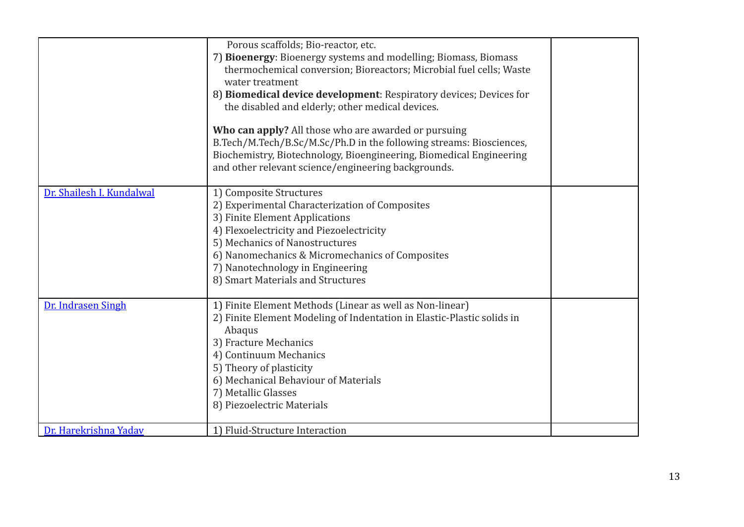|                           | Porous scaffolds; Bio-reactor, etc.<br>7) Bioenergy: Bioenergy systems and modelling; Biomass, Biomass<br>thermochemical conversion; Bioreactors; Microbial fuel cells; Waste<br>water treatment<br>8) Biomedical device development: Respiratory devices; Devices for<br>the disabled and elderly; other medical devices.<br>Who can apply? All those who are awarded or pursuing<br>B.Tech/M.Tech/B.Sc/M.Sc/Ph.D in the following streams: Biosciences,<br>Biochemistry, Biotechnology, Bioengineering, Biomedical Engineering<br>and other relevant science/engineering backgrounds. |  |
|---------------------------|-----------------------------------------------------------------------------------------------------------------------------------------------------------------------------------------------------------------------------------------------------------------------------------------------------------------------------------------------------------------------------------------------------------------------------------------------------------------------------------------------------------------------------------------------------------------------------------------|--|
| Dr. Shailesh I. Kundalwal | 1) Composite Structures<br>2) Experimental Characterization of Composites<br>3) Finite Element Applications<br>4) Flexoelectricity and Piezoelectricity<br>5) Mechanics of Nanostructures<br>6) Nanomechanics & Micromechanics of Composites<br>7) Nanotechnology in Engineering<br>8) Smart Materials and Structures                                                                                                                                                                                                                                                                   |  |
| Dr. Indrasen Singh        | 1) Finite Element Methods (Linear as well as Non-linear)<br>2) Finite Element Modeling of Indentation in Elastic-Plastic solids in<br>Abaqus<br>3) Fracture Mechanics<br>4) Continuum Mechanics<br>5) Theory of plasticity<br>6) Mechanical Behaviour of Materials<br>7) Metallic Glasses<br>8) Piezoelectric Materials                                                                                                                                                                                                                                                                 |  |
| Dr. Harekrishna Yadav     | 1) Fluid-Structure Interaction                                                                                                                                                                                                                                                                                                                                                                                                                                                                                                                                                          |  |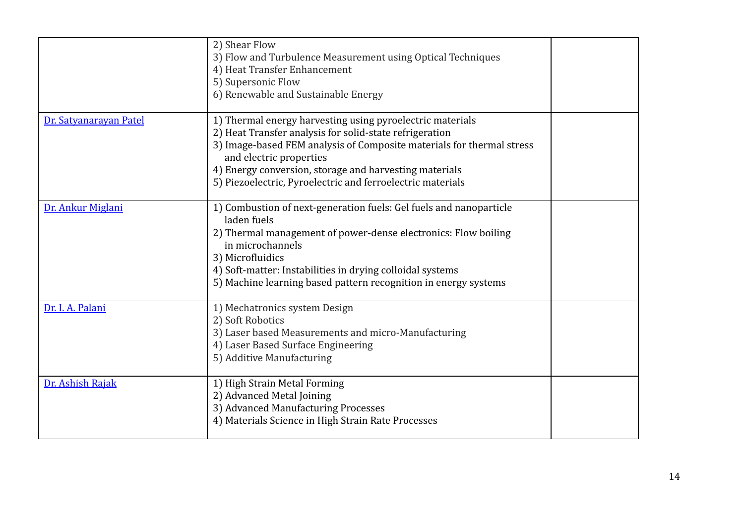|                        | 2) Shear Flow<br>3) Flow and Turbulence Measurement using Optical Techniques<br>4) Heat Transfer Enhancement<br>5) Supersonic Flow<br>6) Renewable and Sustainable Energy                                                                                                                                                                        |  |
|------------------------|--------------------------------------------------------------------------------------------------------------------------------------------------------------------------------------------------------------------------------------------------------------------------------------------------------------------------------------------------|--|
| Dr. Satyanarayan Patel | 1) Thermal energy harvesting using pyroelectric materials<br>2) Heat Transfer analysis for solid-state refrigeration<br>3) Image-based FEM analysis of Composite materials for thermal stress<br>and electric properties<br>4) Energy conversion, storage and harvesting materials<br>5) Piezoelectric, Pyroelectric and ferroelectric materials |  |
| Dr. Ankur Miglani      | 1) Combustion of next-generation fuels: Gel fuels and nanoparticle<br>laden fuels<br>2) Thermal management of power-dense electronics: Flow boiling<br>in microchannels<br>3) Microfluidics<br>4) Soft-matter: Instabilities in drying colloidal systems<br>5) Machine learning based pattern recognition in energy systems                      |  |
| Dr. I. A. Palani       | 1) Mechatronics system Design<br>2) Soft Robotics<br>3) Laser based Measurements and micro-Manufacturing<br>4) Laser Based Surface Engineering<br>5) Additive Manufacturing                                                                                                                                                                      |  |
| Dr. Ashish Rajak       | 1) High Strain Metal Forming<br>2) Advanced Metal Joining<br>3) Advanced Manufacturing Processes<br>4) Materials Science in High Strain Rate Processes                                                                                                                                                                                           |  |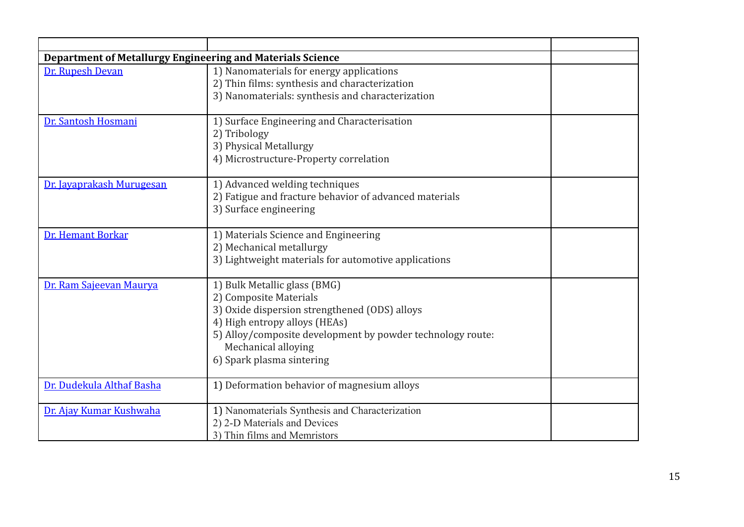| Department of Metallurgy Engineering and Materials Science |                                                                                                                                                                                                                                                            |  |
|------------------------------------------------------------|------------------------------------------------------------------------------------------------------------------------------------------------------------------------------------------------------------------------------------------------------------|--|
| Dr. Rupesh Devan                                           | 1) Nanomaterials for energy applications<br>2) Thin films: synthesis and characterization<br>3) Nanomaterials: synthesis and characterization                                                                                                              |  |
| Dr. Santosh Hosmani                                        | 1) Surface Engineering and Characterisation<br>2) Tribology<br>3) Physical Metallurgy<br>4) Microstructure-Property correlation                                                                                                                            |  |
| Dr. Javaprakash Murugesan                                  | 1) Advanced welding techniques<br>2) Fatigue and fracture behavior of advanced materials<br>3) Surface engineering                                                                                                                                         |  |
| Dr. Hemant Borkar                                          | 1) Materials Science and Engineering<br>2) Mechanical metallurgy<br>3) Lightweight materials for automotive applications                                                                                                                                   |  |
| Dr. Ram Sajeevan Maurya                                    | 1) Bulk Metallic glass (BMG)<br>2) Composite Materials<br>3) Oxide dispersion strengthened (ODS) alloys<br>4) High entropy alloys (HEAs)<br>5) Alloy/composite development by powder technology route:<br>Mechanical alloying<br>6) Spark plasma sintering |  |
| Dr. Dudekula Althaf Basha                                  | 1) Deformation behavior of magnesium alloys                                                                                                                                                                                                                |  |
| Dr. Ajay Kumar Kushwaha                                    | 1) Nanomaterials Synthesis and Characterization<br>2) 2-D Materials and Devices<br>3) Thin films and Memristors                                                                                                                                            |  |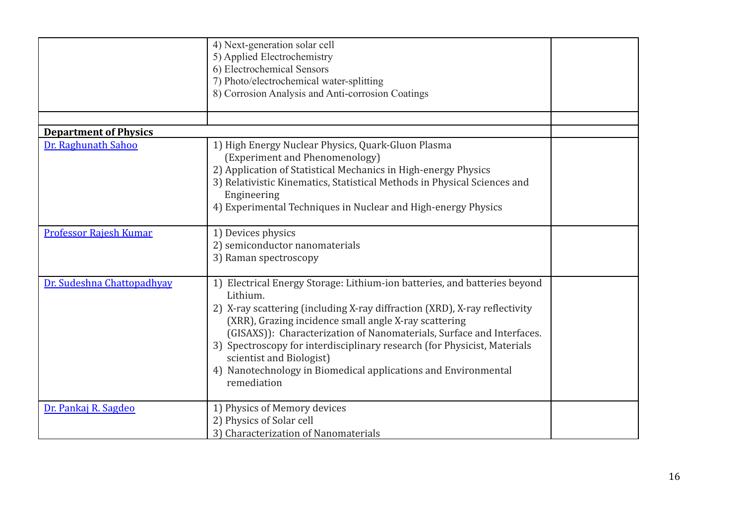|                               | 4) Next-generation solar cell<br>5) Applied Electrochemistry<br>6) Electrochemical Sensors<br>7) Photo/electrochemical water-splitting<br>8) Corrosion Analysis and Anti-corrosion Coatings                                                                                                                                                                                                                                                                                                    |  |
|-------------------------------|------------------------------------------------------------------------------------------------------------------------------------------------------------------------------------------------------------------------------------------------------------------------------------------------------------------------------------------------------------------------------------------------------------------------------------------------------------------------------------------------|--|
|                               |                                                                                                                                                                                                                                                                                                                                                                                                                                                                                                |  |
| <b>Department of Physics</b>  |                                                                                                                                                                                                                                                                                                                                                                                                                                                                                                |  |
| Dr. Raghunath Sahoo           | 1) High Energy Nuclear Physics, Quark-Gluon Plasma<br>(Experiment and Phenomenology)<br>2) Application of Statistical Mechanics in High-energy Physics<br>3) Relativistic Kinematics, Statistical Methods in Physical Sciences and<br>Engineering<br>4) Experimental Techniques in Nuclear and High-energy Physics                                                                                                                                                                             |  |
| <b>Professor Rajesh Kumar</b> | 1) Devices physics<br>2) semiconductor nanomaterials<br>3) Raman spectroscopy                                                                                                                                                                                                                                                                                                                                                                                                                  |  |
| Dr. Sudeshna Chattopadhyay    | 1) Electrical Energy Storage: Lithium-ion batteries, and batteries beyond<br>Lithium.<br>2) X-ray scattering (including X-ray diffraction (XRD), X-ray reflectivity<br>(XRR), Grazing incidence small angle X-ray scattering<br>(GISAXS)): Characterization of Nanomaterials, Surface and Interfaces.<br>3) Spectroscopy for interdisciplinary research (for Physicist, Materials<br>scientist and Biologist)<br>4) Nanotechnology in Biomedical applications and Environmental<br>remediation |  |
| Dr. Pankaj R. Sagdeo          | 1) Physics of Memory devices<br>2) Physics of Solar cell<br>3) Characterization of Nanomaterials                                                                                                                                                                                                                                                                                                                                                                                               |  |